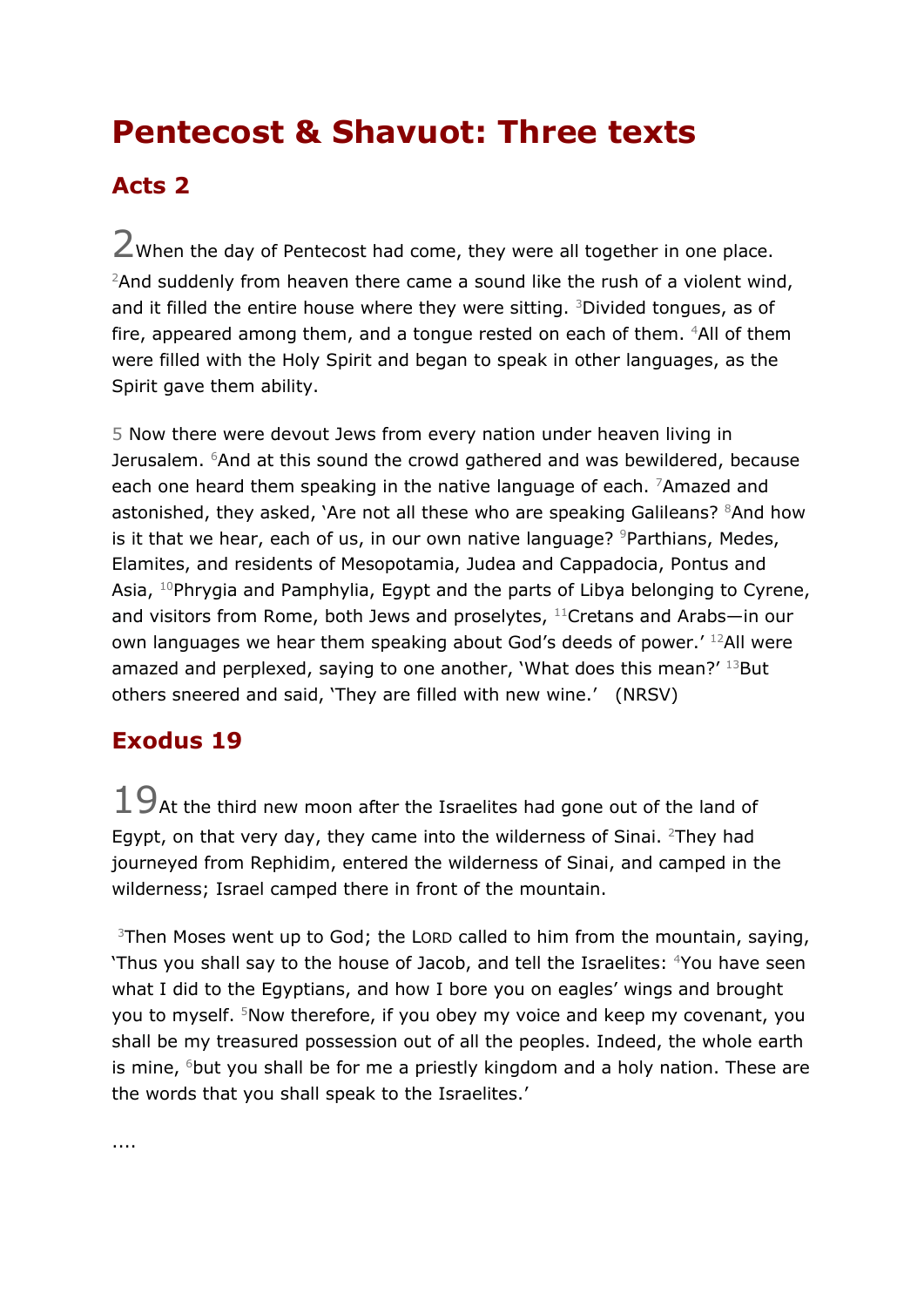## **Pentecost & Shavuot: Three texts**

## **Acts 2**

2When the day of Pentecost had come, they were all together in one place. <sup>2</sup>And suddenly from heaven there came a sound like the rush of a violent wind, and it filled the entire house where they were sitting. <sup>3</sup>Divided tongues, as of fire, appeared among them, and a tongue rested on each of them. <sup>4</sup>All of them were filled with the Holy Spirit and began to speak in other languages, as the Spirit gave them ability.

5 Now there were devout Jews from every nation under heaven living in Jerusalem. <sup>6</sup>And at this sound the crowd gathered and was bewildered, because each one heard them speaking in the native language of each. <sup>7</sup>Amazed and astonished, they asked, `Are not all these who are speaking Galileans?  ${}^{8}$ And how is it that we hear, each of us, in our own native language?  $9P$ arthians, Medes, Elamites, and residents of Mesopotamia, Judea and Cappadocia, Pontus and Asia, <sup>10</sup>Phrygia and Pamphylia, Egypt and the parts of Libya belonging to Cyrene, and visitors from Rome, both Jews and proselytes, <sup>11</sup>Cretans and Arabs-in our own languages we hear them speaking about God's deeds of power.' <sup>12</sup>All were amazed and perplexed, saying to one another, 'What does this mean?' 13But others sneered and said, 'They are filled with new wine.' (NRSV)

## **Exodus 19**

 $19$ At the third new moon after the Israelites had gone out of the land of Egypt, on that very day, they came into the wilderness of Sinai. <sup>2</sup>They had journeyed from Rephidim, entered the wilderness of Sinai, and camped in the wilderness; Israel camped there in front of the mountain.

<sup>3</sup>Then Moses went up to God; the LORD called to him from the mountain, saying, 'Thus you shall say to the house of Jacob, and tell the Israelites: <sup>4</sup>You have seen what I did to the Egyptians, and how I bore you on eagles' wings and brought you to myself. <sup>5</sup>Now therefore, if you obey my voice and keep my covenant, you shall be my treasured possession out of all the peoples. Indeed, the whole earth is mine,  $6$ but you shall be for me a priestly kingdom and a holy nation. These are the words that you shall speak to the Israelites.'